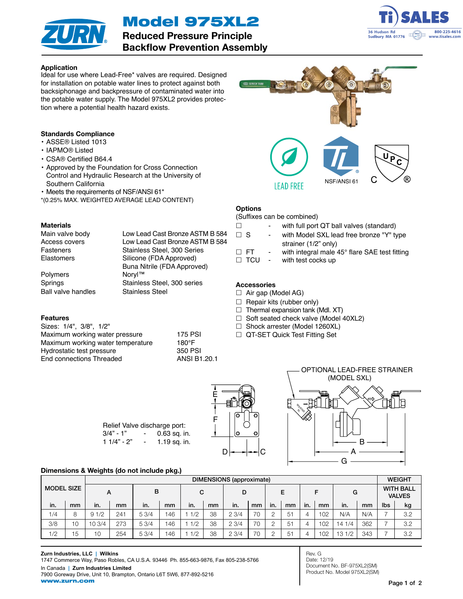Model 975XL2



Reduced Pressure Principle Backflow Prevention Assembly



## Application

Ideal for use where Lead-Free\* valves are required. Designed for installation on potable water lines to protect against both backsiphonage and backpressure of contaminated water into the potable water supply. The Model 975XL2 provides protection where a potential health hazard exists.

# Standards Compliance

- ASSE® Listed 1013
- IAPMO® Listed
- CSA® Certified B64.4
- Approved by the Foundation for Cross Connection Control and Hydraulic Research at the University of Southern California
- Meets the requirements of NSF/ANSI 61\*
- \*(0.25% MAX. WEIGHTED AVERAGE LEAD CONTENT)

#### **Materials**

Main valve body Low Lead Cast Bronze ASTM B 584 Access covers Low Lead Cast Bronze ASTM B 584 Fasteners Stainless Steel, 300 Series Elastomers Silicone (FDA Approved) Buna Nitrile (FDA Approved)<br>Noryl™ Springs Stainless Steel, 300 series

Polymers Ball valve handles Stainless Steel

#### Features

| Sizes: 1/4", 3/8", 1/2"           |               |
|-----------------------------------|---------------|
| Maximum working water pressure    | 175 P         |
| Maximum working water temperature | $180^\circ F$ |
| Hydrostatic test pressure         | 350 P         |
| End connections Threaded          | ANSI          |

 $175$  PSI<br> $180^\circ$ F 350 PSI **ANSI B1.20.1** 





**Options** 

**Accessories** 

 $\Box$  Air gap (Model AG)  $\Box$  Repair kits (rubber only)  $\Box$  Thermal expansion tank (Mdl. XT)  $\Box$  Soft seated check valve (Model 40XL2) □ Shock arrester (Model 1260XL) □ QT-SET Quick Test Fitting Set

(Suffixes can be combined)

 $\Box$  TCU - with test cocks up

**LEAD FREE** 

 $\Box$  - with full port QT ball valves (standard)  $\Box$  S - with Model SXL lead free bronze "Y" type strainer (1/2" only)  $\Box$  FT - with integral male 45° flare SAE test fitting

NSF/ANSI 61

C



## Dimensions & Weights (do not include pkg.)

|                   |    | DIMENSIONS (approximate) |     |       |     |     |    |      |    |          |    | <b>WEIGHT</b> |     |       |     |     |                                   |
|-------------------|----|--------------------------|-----|-------|-----|-----|----|------|----|----------|----|---------------|-----|-------|-----|-----|-----------------------------------|
| <b>MODEL SIZE</b> |    | A                        |     | B     |     | C   |    | D    |    |          | Е  |               |     | G     |     |     | <b>WITH BALL</b><br><b>VALVES</b> |
| in.               | mm | in.                      | mm  | in.   | mm  | in. | mm | in.  | mm | in.      | mm | in.           | mm  | in.   | mm  | lbs | kg                                |
| 1/4               | 8  | 91/2                     | 241 | 5.3/4 | 146 | 1/2 | 38 | 23/4 | 70 | $\Omega$ | 51 | 4             | 102 | N/A   | N/A | -   | 3.2                               |
| 3/8               | 10 | 103/4                    | 273 | 5.3/4 | 146 | 1/2 | 38 | 23/4 | 70 | $\cap$   | 51 | 4             | 102 | 141/4 | 362 |     | 3.2                               |
| 1/2               | 15 | 10                       | 254 | 53/4  | 146 | 1/2 | 38 | 23/4 | 70 |          | 51 | 4             | 102 | 131/2 | 343 |     | 3.2                               |

Rev. G Date: 12/19 Document No. BF-975XL2(SM) Product No. Model 975XL2(SM)

Page 1 of 2